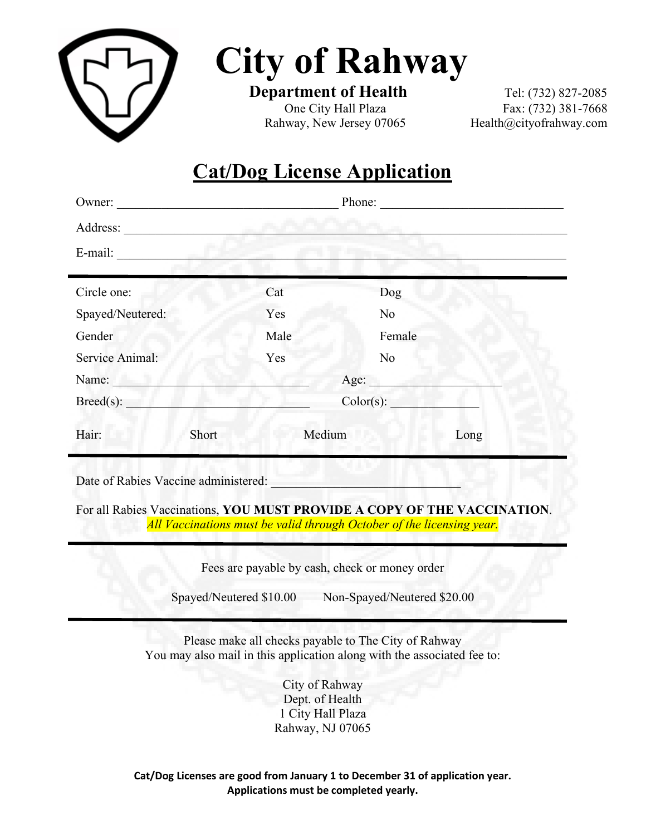

**City of Rahway**<br>Department of Health Tel: (732) 827-2085

Rahway, New Jersey 07065 [Health@cityofrahway.com](mailto:Health@cityofrahway.com)

**One City Hall Plaza** Fax: (732) 381-7668

# **Cat/Dog License Application**

| Owner:                                                                                                                                            | <u> 1980 - Johann Barn, mars ann an t-Amhain Aonaich an t-Amhain Aonaich an t-Amhain Aonaich an t-Amhain Aonaich</u> |           | Phone:         | <u> 1980 - Jan Barbara Barbara, masa ka</u> |
|---------------------------------------------------------------------------------------------------------------------------------------------------|----------------------------------------------------------------------------------------------------------------------|-----------|----------------|---------------------------------------------|
|                                                                                                                                                   |                                                                                                                      |           |                |                                             |
| E-mail:                                                                                                                                           |                                                                                                                      |           |                |                                             |
|                                                                                                                                                   |                                                                                                                      |           |                |                                             |
| Circle one:                                                                                                                                       |                                                                                                                      | Cat       | Dog            |                                             |
| Spayed/Neutered:                                                                                                                                  |                                                                                                                      | Yes       | N <sub>o</sub> |                                             |
| Gender                                                                                                                                            |                                                                                                                      | Male      | Female         |                                             |
| Service Animal:                                                                                                                                   |                                                                                                                      | Yes       | No             |                                             |
| Name:                                                                                                                                             | Age:                                                                                                                 |           |                |                                             |
| Breed(s):                                                                                                                                         |                                                                                                                      | Color(s): |                |                                             |
| Hair:                                                                                                                                             | Short                                                                                                                | Medium    |                | Long                                        |
| Date of Rabies Vaccine administered:                                                                                                              |                                                                                                                      |           |                |                                             |
| For all Rabies Vaccinations, YOU MUST PROVIDE A COPY OF THE VACCINATION.<br>All Vaccinations must be valid through October of the licensing year. |                                                                                                                      |           |                |                                             |
|                                                                                                                                                   |                                                                                                                      |           |                |                                             |

Fees are payable by cash, check or money order

Spayed/Neutered \$10.00 Non-Spayed/Neutered \$20.00

Please make all checks payable to The City of Rahway You may also mail in this application along with the associated fee to:

> City of Rahway Dept. of Health 1 City Hall Plaza Rahway, NJ 07065

**Cat/Dog Licenses are good from January 1 to December 31 of application year. Applications must be completed yearly.**